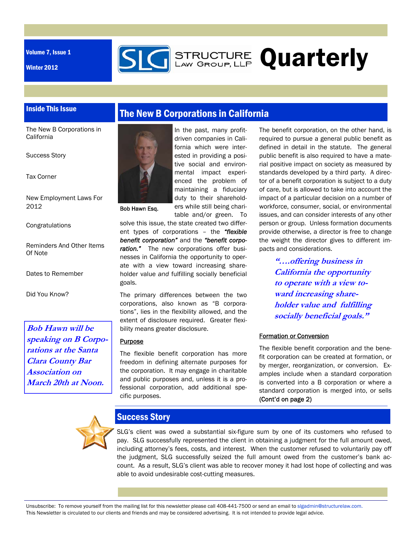Volume 7, Issue 1

Winter 2012



### Inside This Issue

The New B Corporations in **California** 

Success Story

Tax Corner

New Employment Laws For 2012

Congratulations

Reminders And Other Items Of Note

Dates to Remember

Did You Know?

**Bob Hawn will be speaking on B Corporations at the Santa Clara County Bar Association on March 20th at Noon.** 



Bob Hawn Esq.

In the past, many profitdriven companies in California which were interested in providing a positive social and environmental impact experienced the problem of maintaining a fiduciary duty to their shareholders while still being charitable and/or green. To

The New B Corporations in California

solve this issue, the state created two different types of corporations – the *"flexible benefit corporation"* and the *"benefit corporation."* The new corporations offer businesses in California the opportunity to operate with a view toward increasing shareholder value *and* fulfilling socially beneficial goals.

The primary differences between the two corporations, also known as "B corporations", lies in the flexibility allowed, and the extent of disclosure required. Greater flexibility means greater disclosure.

#### **Purpose**

The flexible benefit corporation has more freedom in defining alternate purposes for the corporation. It may engage in charitable and public purposes and, unless it is a professional corporation, add additional specific purposes.

The benefit corporation, on the other hand, is required to pursue a general public benefit as defined in detail in the statute. The general public benefit is also required to have a material positive impact on society as measured by standards developed by a third party. A director of a benefit corporation is subject to a duty of care, but is allowed to take into account the impact of a particular decision on a number of workforce, consumer, social, or environmental issues, and can consider interests of any other person or group. Unless formation documents provide otherwise, a director is free to change the weight the director gives to different impacts and considerations.

> **"….offering business in California the opportunity to operate with a view toward increasing shareholder value and fulfilling socially beneficial goals."**

#### Formation or Conversion

The flexible benefit corporation and the benefit corporation can be created at formation, or by merger, reorganization, or conversion. Examples include when a standard corporation is converted into a B corporation or where a standard corporation is merged into, or sells (Cont'd on page 2)



### Success Story

SLG's client was owed a substantial six-figure sum by one of its customers who refused to pay. SLG successfully represented the client in obtaining a judgment for the full amount owed, including attorney's fees, costs, and interest. When the customer refused to voluntarily pay off the judgment, SLG successfully seized the full amount owed from the customer's bank account. As a result, SLG's client was able to recover money it had lost hope of collecting and was able to avoid undesirable cost-cutting measures.

Unsubscribe: To remove yourself from the mailing list for this newsletter please call 408-441-7500 or send an email to slgadmin@structurelaw.com. This Newsletter is circulated to our clients and friends and may be considered advertising. It is not intended to provide legal advice.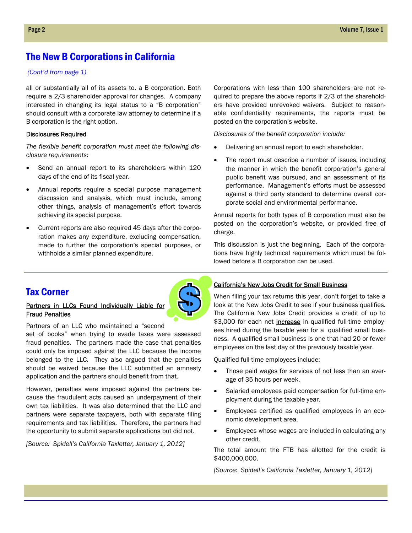## The New B Corporations in California

#### *(Cont'd from page 1)*

all or substantially all of its assets to, a B corporation. Both require a 2/3 shareholder approval for changes. A company interested in changing its legal status to a "B corporation" should consult with a corporate law attorney to determine if a B corporation is the right option.

#### Disclosures Required

*The flexible benefit corporation must meet the following disclosure requirements:* 

- Send an annual report to its shareholders within 120 days of the end of its fiscal year.
- Annual reports require a special purpose management discussion and analysis, which must include, among other things, analysis of management's effort towards achieving its special purpose.
- Current reports are also required 45 days after the corporation makes any expenditure, excluding compensation, made to further the corporation's special purposes, or withholds a similar planned expenditure.

Corporations with less than 100 shareholders are not required to prepare the above reports if 2/3 of the shareholders have provided unrevoked waivers. Subject to reasonable confidentiality requirements, the reports must be posted on the corporation's website.

*Disclosures of the benefit corporation include:* 

- Delivering an annual report to each shareholder.
- The report must describe a number of issues, including the manner in which the benefit corporation's general public benefit was pursued, and an assessment of its performance. Management's efforts must be assessed against a third party standard to determine overall corporate social and environmental performance.

Annual reports for both types of B corporation must also be posted on the corporation's website, or provided free of charge.

This discussion is just the beginning. Each of the corporations have highly technical requirements which must be followed before a B corporation can be used.

### Tax Corner

#### Partners in LLCs Found Individually Liable for Fraud Penalties

Partners of an LLC who maintained a "second set of books" when trying to evade taxes were assessed fraud penalties. The partners made the case that penalties could only be imposed against the LLC because the income belonged to the LLC. They also argued that the penalties should be waived because the LLC submitted an amnesty application and the partners should benefit from that.

However, penalties were imposed against the partners because the fraudulent acts caused an underpayment of their own tax liabilities. It was also determined that the LLC and partners were separate taxpayers, both with separate filing requirements and tax liabilities. Therefore, the partners had the opportunity to submit separate applications but did not.

*[Source: Spidell's California Taxletter, January 1, 2012]* 

#### California's New Jobs Credit for Small Business

When filing your tax returns this year, don't forget to take a look at the New Jobs Credit to see if your business qualifies. The California New Jobs Credit provides a credit of up to \$3,000 for each net *increase* in qualified full-time employees hired during the taxable year for a qualified small business. A qualified small business is one that had 20 or fewer employees on the last day of the previously taxable year.

Qualified full-time employees include:

- Those paid wages for services of not less than an average of 35 hours per week.
- Salaried employees paid compensation for full-time employment during the taxable year.
- Employees certified as qualified employees in an economic development area.
- Employees whose wages are included in calculating any other credit.

The total amount the FTB has allotted for the credit is \$400,000,000.

*[Source: Spidell's California Taxletter, January 1, 2012]*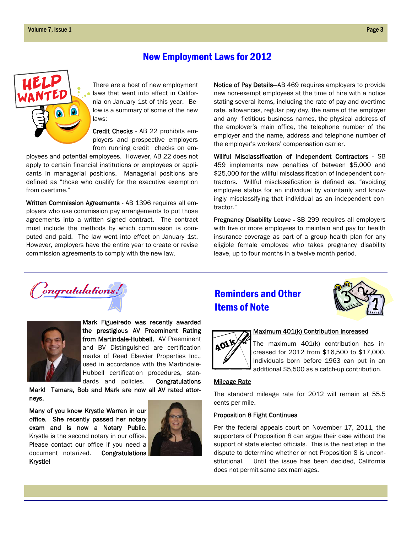### New Employment Laws for 2012



There are a host of new employment laws that went into effect in California on January 1st of this year. Below is a summary of some of the new laws:

Credit Checks - AB 22 prohibits employers and prospective employers from running credit checks on em-

ployees and potential employees. However, AB 22 does not apply to certain financial institutions or employees or applicants in managerial positions. Managerial positions are defined as "those who qualify for the executive exemption from overtime."

Written Commission Agreements - AB 1396 requires all employers who use commission pay arrangements to put those agreements into a written signed contract. The contract must include the methods by which commission is computed and paid. The law went into effect on January 1st. However, employers have the entire year to create or revise commission agreements to comply with the new law.

Notice of Pay Details—AB 469 requires employers to provide new non-exempt employees at the time of hire with a notice stating several items, including the rate of pay and overtime rate, allowances, regular pay day, the name of the employer and any fictitious business names, the physical address of the employer's main office, the telephone number of the employer and the name, address and telephone number of the employer's workers' compensation carrier.

Willful Misclassification of Independent Contractors - SB 459 implements new penalties of between \$5,000 and \$25,000 for the willful misclassification of independent contractors. Willful misclassification is defined as, "avoiding employee status for an individual by voluntarily and knowingly misclassifying that individual as an independent contractor."

Pregnancy Disability Leave - SB 299 requires all employers with five or more employees to maintain and pay for health insurance coverage as part of a group health plan for any eligible female employee who takes pregnancy disability leave, up to four months in a twelve month period.





Mark Figueiredo was recently awarded the prestigious AV Preeminent Rating from Martindale-Hubbell. AV Preeminent and BV Distinguished are certification marks of Reed Elsevier Properties Inc., used in accordance with the Martindale-Hubbell certification procedures, stan-

dards and policies. Congratulations

Mark! Tamara, Bob and Mark are now all AV rated attorneys.

Many of you know Krystle Warren in our office. She recently passed her notary exam and is now a Notary Public. Krystle is the second notary in our office. Please contact our office if you need a document notarized. Congratulations Krystle!



## Reminders and Other Items of Note





#### Maximum 401(k) Contribution Increased

The maximum 401(k) contribution has increased for 2012 from \$16,500 to \$17,000. Individuals born before 1963 can put in an additional \$5,500 as a catch-up contribution.

#### Mileage Rate

The standard mileage rate for 2012 will remain at 55.5 cents per mile.

#### Proposition 8 Fight Continues

Per the federal appeals court on November 17, 2011, the supporters of Proposition 8 can argue their case without the support of state elected officials. This is the next step in the dispute to determine whether or not Proposition 8 is unconstitutional. Until the issue has been decided, California does not permit same sex marriages.